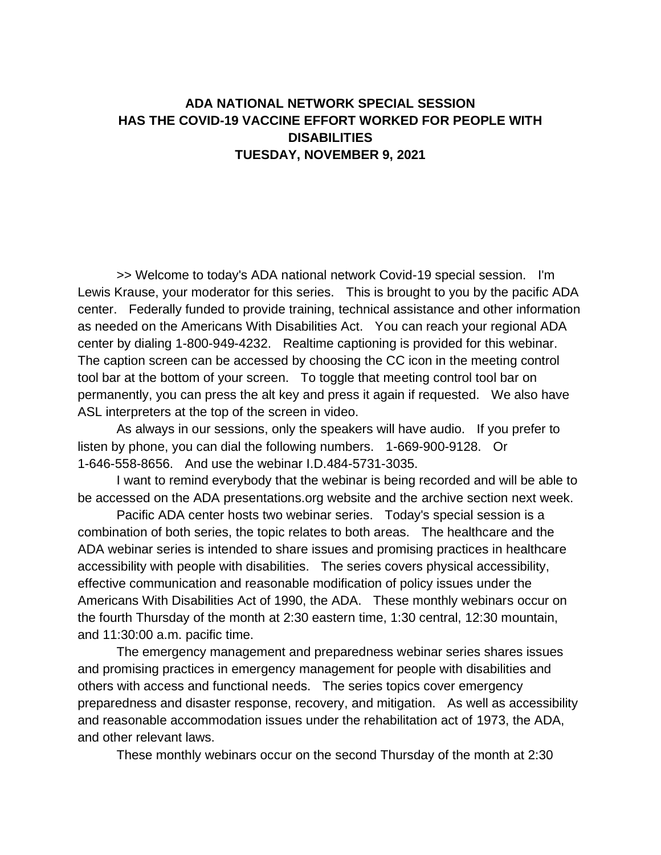## **ADA NATIONAL NETWORK SPECIAL SESSION HAS THE COVID-19 VACCINE EFFORT WORKED FOR PEOPLE WITH DISABILITIES TUESDAY, NOVEMBER 9, 2021**

>> Welcome to today's ADA national network Covid-19 special session. I'm Lewis Krause, your moderator for this series. This is brought to you by the pacific ADA center. Federally funded to provide training, technical assistance and other information as needed on the Americans With Disabilities Act. You can reach your regional ADA center by dialing 1-800-949-4232. Realtime captioning is provided for this webinar. The caption screen can be accessed by choosing the CC icon in the meeting control tool bar at the bottom of your screen. To toggle that meeting control tool bar on permanently, you can press the alt key and press it again if requested. We also have ASL interpreters at the top of the screen in video.

As always in our sessions, only the speakers will have audio. If you prefer to listen by phone, you can dial the following numbers. 1-669-900-9128. Or 1-646-558-8656. And use the webinar I.D.484-5731-3035.

I want to remind everybody that the webinar is being recorded and will be able to be accessed on the ADA presentations.org website and the archive section next week.

Pacific ADA center hosts two webinar series. Today's special session is a combination of both series, the topic relates to both areas. The healthcare and the ADA webinar series is intended to share issues and promising practices in healthcare accessibility with people with disabilities. The series covers physical accessibility, effective communication and reasonable modification of policy issues under the Americans With Disabilities Act of 1990, the ADA. These monthly webinars occur on the fourth Thursday of the month at 2:30 eastern time, 1:30 central, 12:30 mountain, and 11:30:00 a.m. pacific time.

The emergency management and preparedness webinar series shares issues and promising practices in emergency management for people with disabilities and others with access and functional needs. The series topics cover emergency preparedness and disaster response, recovery, and mitigation. As well as accessibility and reasonable accommodation issues under the rehabilitation act of 1973, the ADA, and other relevant laws.

These monthly webinars occur on the second Thursday of the month at 2:30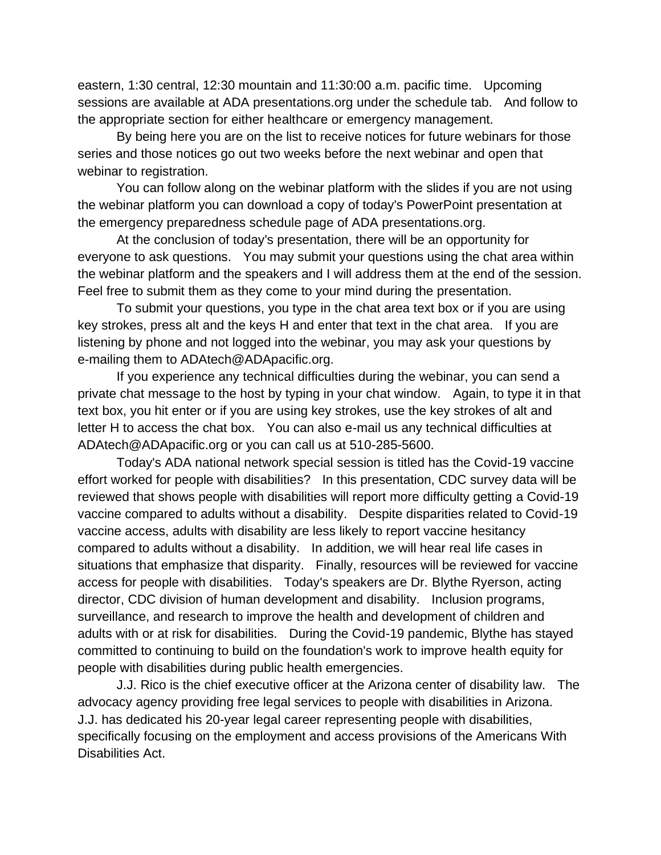eastern, 1:30 central, 12:30 mountain and 11:30:00 a.m. pacific time. Upcoming sessions are available at ADA presentations.org under the schedule tab. And follow to the appropriate section for either healthcare or emergency management.

By being here you are on the list to receive notices for future webinars for those series and those notices go out two weeks before the next webinar and open that webinar to registration.

You can follow along on the webinar platform with the slides if you are not using the webinar platform you can download a copy of today's PowerPoint presentation at the emergency preparedness schedule page of ADA presentations.org.

At the conclusion of today's presentation, there will be an opportunity for everyone to ask questions. You may submit your questions using the chat area within the webinar platform and the speakers and I will address them at the end of the session. Feel free to submit them as they come to your mind during the presentation.

To submit your questions, you type in the chat area text box or if you are using key strokes, press alt and the keys H and enter that text in the chat area. If you are listening by phone and not logged into the webinar, you may ask your questions by e-mailing them to ADAtech@ADApacific.org.

If you experience any technical difficulties during the webinar, you can send a private chat message to the host by typing in your chat window. Again, to type it in that text box, you hit enter or if you are using key strokes, use the key strokes of alt and letter H to access the chat box. You can also e-mail us any technical difficulties at ADAtech@ADApacific.org or you can call us at 510-285-5600.

Today's ADA national network special session is titled has the Covid-19 vaccine effort worked for people with disabilities? In this presentation, CDC survey data will be reviewed that shows people with disabilities will report more difficulty getting a Covid-19 vaccine compared to adults without a disability. Despite disparities related to Covid-19 vaccine access, adults with disability are less likely to report vaccine hesitancy compared to adults without a disability. In addition, we will hear real life cases in situations that emphasize that disparity. Finally, resources will be reviewed for vaccine access for people with disabilities. Today's speakers are Dr. Blythe Ryerson, acting director, CDC division of human development and disability. Inclusion programs, surveillance, and research to improve the health and development of children and adults with or at risk for disabilities. During the Covid-19 pandemic, Blythe has stayed committed to continuing to build on the foundation's work to improve health equity for people with disabilities during public health emergencies.

J.J. Rico is the chief executive officer at the Arizona center of disability law. The advocacy agency providing free legal services to people with disabilities in Arizona. J.J. has dedicated his 20-year legal career representing people with disabilities, specifically focusing on the employment and access provisions of the Americans With Disabilities Act.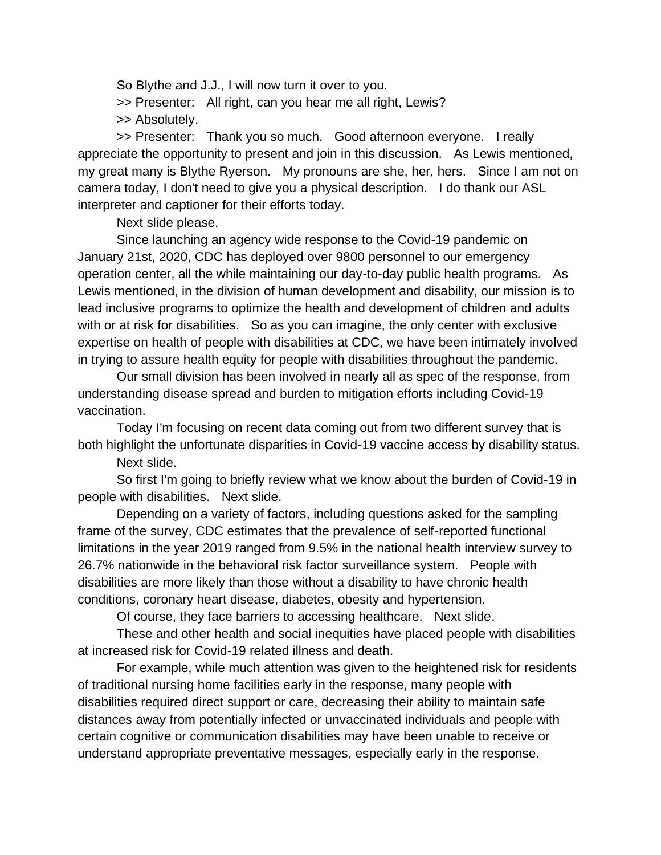So Blythe and J.J., I will now turn it over to you.

>> Presenter: All right, can you hear me all right, Lewis?

>> Absolutely.

>> Presenter: Thank you so much. Good afternoon everyone. I really appreciate the opportunity to present and join in this discussion. As Lewis mentioned, my great many is Blythe Ryerson. My pronouns are she, her, hers. Since I am not on camera today, I don't need to give you a physical description. I do thank our ASL interpreter and captioner for their efforts today.

Next slide please.

Since launching an agency wide response to the Covid-19 pandemic on January 21st, 2020, CDC has deployed over 9800 personnel to our emergency operation center, all the while maintaining our day-to-day public health programs. As Lewis mentioned, in the division of human development and disability, our mission is to lead inclusive programs to optimize the health and development of children and adults with or at risk for disabilities. So as you can imagine, the only center with exclusive expertise on health of people with disabilities at CDC, we have been intimately involved in trying to assure health equity for people with disabilities throughout the pandemic.

Our small division has been involved in nearly all as spec of the response, from understanding disease spread and burden to mitigation efforts including Covid-19 vaccination.

Today I'm focusing on recent data coming out from two different survey that is both highlight the unfortunate disparities in Covid-19 vaccine access by disability status.

Next slide.

So first I'm going to briefly review what we know about the burden of Covid-19 in people with disabilities. Next slide.

Depending on a variety of factors, including questions asked for the sampling frame of the survey, CDC estimates that the prevalence of self-reported functional limitations in the year 2019 ranged from 9.5% in the national health interview survey to 26.7% nationwide in the behavioral risk factor surveillance system. People with disabilities are more likely than those without a disability to have chronic health conditions, coronary heart disease, diabetes, obesity and hypertension.

Of course, they face barriers to accessing healthcare. Next slide.

These and other health and social inequities have placed people with disabilities at increased risk for Covid-19 related illness and death.

For example, while much attention was given to the heightened risk for residents of traditional nursing home facilities early in the response, many people with disabilities required direct support or care, decreasing their ability to maintain safe distances away from potentially infected or unvaccinated individuals and people with certain cognitive or communication disabilities may have been unable to receive or understand appropriate preventative messages, especially early in the response.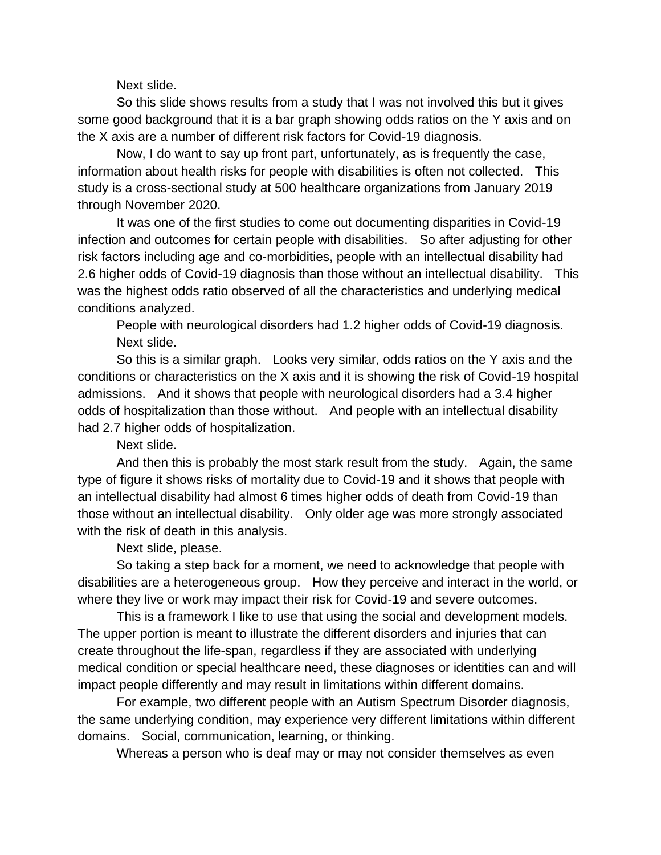Next slide.

So this slide shows results from a study that I was not involved this but it gives some good background that it is a bar graph showing odds ratios on the Y axis and on the X axis are a number of different risk factors for Covid-19 diagnosis.

Now, I do want to say up front part, unfortunately, as is frequently the case, information about health risks for people with disabilities is often not collected. This study is a cross-sectional study at 500 healthcare organizations from January 2019 through November 2020.

It was one of the first studies to come out documenting disparities in Covid-19 infection and outcomes for certain people with disabilities. So after adjusting for other risk factors including age and co-morbidities, people with an intellectual disability had 2.6 higher odds of Covid-19 diagnosis than those without an intellectual disability. This was the highest odds ratio observed of all the characteristics and underlying medical conditions analyzed.

People with neurological disorders had 1.2 higher odds of Covid-19 diagnosis. Next slide.

So this is a similar graph. Looks very similar, odds ratios on the Y axis and the conditions or characteristics on the X axis and it is showing the risk of Covid-19 hospital admissions. And it shows that people with neurological disorders had a 3.4 higher odds of hospitalization than those without. And people with an intellectual disability had 2.7 higher odds of hospitalization.

Next slide.

And then this is probably the most stark result from the study. Again, the same type of figure it shows risks of mortality due to Covid-19 and it shows that people with an intellectual disability had almost 6 times higher odds of death from Covid-19 than those without an intellectual disability. Only older age was more strongly associated with the risk of death in this analysis.

Next slide, please.

So taking a step back for a moment, we need to acknowledge that people with disabilities are a heterogeneous group. How they perceive and interact in the world, or where they live or work may impact their risk for Covid-19 and severe outcomes.

This is a framework I like to use that using the social and development models. The upper portion is meant to illustrate the different disorders and injuries that can create throughout the life-span, regardless if they are associated with underlying medical condition or special healthcare need, these diagnoses or identities can and will impact people differently and may result in limitations within different domains.

For example, two different people with an Autism Spectrum Disorder diagnosis, the same underlying condition, may experience very different limitations within different domains. Social, communication, learning, or thinking.

Whereas a person who is deaf may or may not consider themselves as even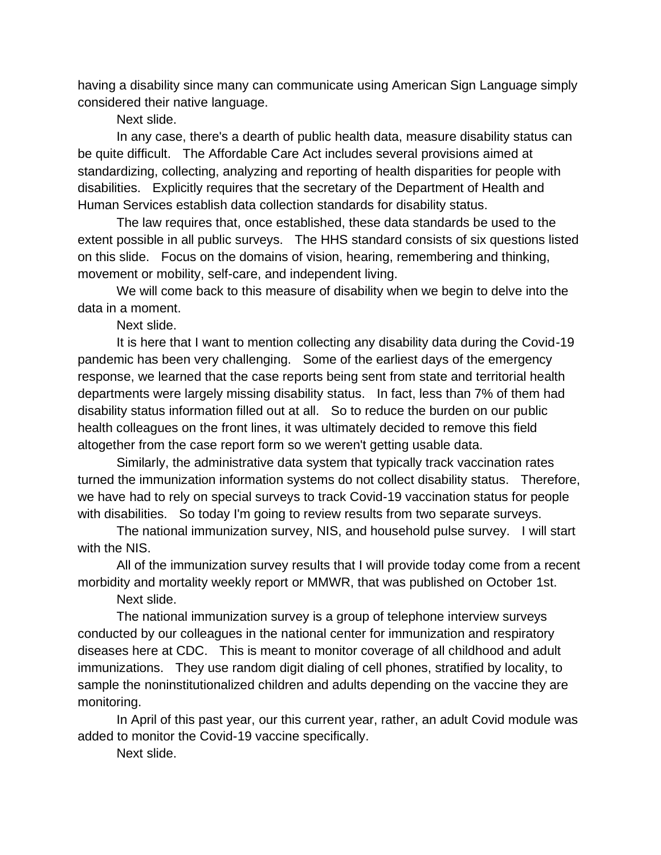having a disability since many can communicate using American Sign Language simply considered their native language.

Next slide.

In any case, there's a dearth of public health data, measure disability status can be quite difficult. The Affordable Care Act includes several provisions aimed at standardizing, collecting, analyzing and reporting of health disparities for people with disabilities. Explicitly requires that the secretary of the Department of Health and Human Services establish data collection standards for disability status.

The law requires that, once established, these data standards be used to the extent possible in all public surveys. The HHS standard consists of six questions listed on this slide. Focus on the domains of vision, hearing, remembering and thinking, movement or mobility, self-care, and independent living.

We will come back to this measure of disability when we begin to delve into the data in a moment.

Next slide.

It is here that I want to mention collecting any disability data during the Covid-19 pandemic has been very challenging. Some of the earliest days of the emergency response, we learned that the case reports being sent from state and territorial health departments were largely missing disability status. In fact, less than 7% of them had disability status information filled out at all. So to reduce the burden on our public health colleagues on the front lines, it was ultimately decided to remove this field altogether from the case report form so we weren't getting usable data.

Similarly, the administrative data system that typically track vaccination rates turned the immunization information systems do not collect disability status. Therefore, we have had to rely on special surveys to track Covid-19 vaccination status for people with disabilities. So today I'm going to review results from two separate surveys.

The national immunization survey, NIS, and household pulse survey. I will start with the NIS.

All of the immunization survey results that I will provide today come from a recent morbidity and mortality weekly report or MMWR, that was published on October 1st.

Next slide.

The national immunization survey is a group of telephone interview surveys conducted by our colleagues in the national center for immunization and respiratory diseases here at CDC. This is meant to monitor coverage of all childhood and adult immunizations. They use random digit dialing of cell phones, stratified by locality, to sample the noninstitutionalized children and adults depending on the vaccine they are monitoring.

In April of this past year, our this current year, rather, an adult Covid module was added to monitor the Covid-19 vaccine specifically.

Next slide.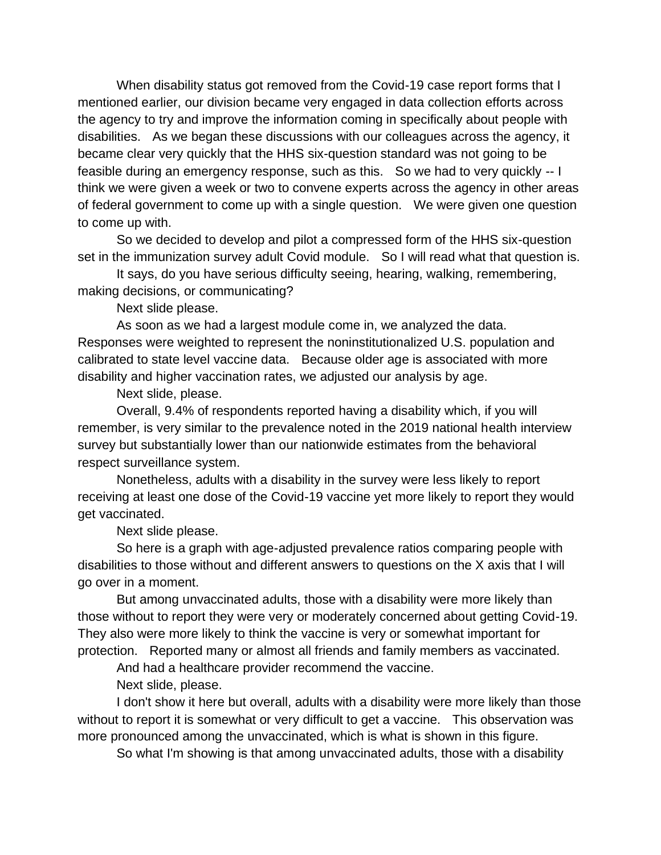When disability status got removed from the Covid-19 case report forms that I mentioned earlier, our division became very engaged in data collection efforts across the agency to try and improve the information coming in specifically about people with disabilities. As we began these discussions with our colleagues across the agency, it became clear very quickly that the HHS six-question standard was not going to be feasible during an emergency response, such as this. So we had to very quickly -- I think we were given a week or two to convene experts across the agency in other areas of federal government to come up with a single question. We were given one question to come up with.

So we decided to develop and pilot a compressed form of the HHS six-question set in the immunization survey adult Covid module. So I will read what that question is.

It says, do you have serious difficulty seeing, hearing, walking, remembering, making decisions, or communicating?

Next slide please.

As soon as we had a largest module come in, we analyzed the data. Responses were weighted to represent the noninstitutionalized U.S. population and calibrated to state level vaccine data. Because older age is associated with more disability and higher vaccination rates, we adjusted our analysis by age.

Next slide, please.

Overall, 9.4% of respondents reported having a disability which, if you will remember, is very similar to the prevalence noted in the 2019 national health interview survey but substantially lower than our nationwide estimates from the behavioral respect surveillance system.

Nonetheless, adults with a disability in the survey were less likely to report receiving at least one dose of the Covid-19 vaccine yet more likely to report they would get vaccinated.

Next slide please.

So here is a graph with age-adjusted prevalence ratios comparing people with disabilities to those without and different answers to questions on the X axis that I will go over in a moment.

But among unvaccinated adults, those with a disability were more likely than those without to report they were very or moderately concerned about getting Covid-19. They also were more likely to think the vaccine is very or somewhat important for protection. Reported many or almost all friends and family members as vaccinated.

And had a healthcare provider recommend the vaccine.

Next slide, please.

I don't show it here but overall, adults with a disability were more likely than those without to report it is somewhat or very difficult to get a vaccine. This observation was more pronounced among the unvaccinated, which is what is shown in this figure.

So what I'm showing is that among unvaccinated adults, those with a disability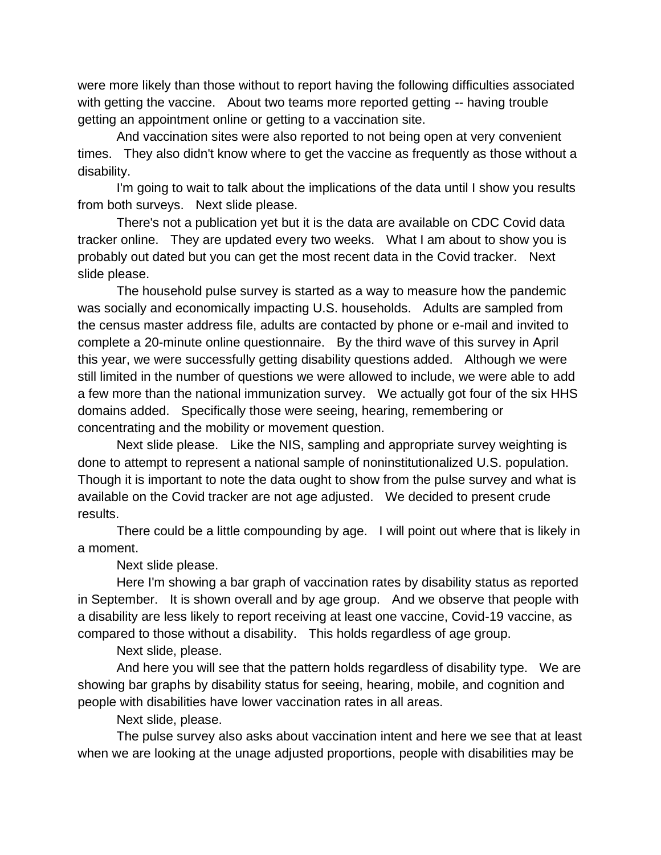were more likely than those without to report having the following difficulties associated with getting the vaccine. About two teams more reported getting -- having trouble getting an appointment online or getting to a vaccination site.

And vaccination sites were also reported to not being open at very convenient times. They also didn't know where to get the vaccine as frequently as those without a disability.

I'm going to wait to talk about the implications of the data until I show you results from both surveys. Next slide please.

There's not a publication yet but it is the data are available on CDC Covid data tracker online. They are updated every two weeks. What I am about to show you is probably out dated but you can get the most recent data in the Covid tracker. Next slide please.

The household pulse survey is started as a way to measure how the pandemic was socially and economically impacting U.S. households. Adults are sampled from the census master address file, adults are contacted by phone or e-mail and invited to complete a 20-minute online questionnaire. By the third wave of this survey in April this year, we were successfully getting disability questions added. Although we were still limited in the number of questions we were allowed to include, we were able to add a few more than the national immunization survey. We actually got four of the six HHS domains added. Specifically those were seeing, hearing, remembering or concentrating and the mobility or movement question.

Next slide please. Like the NIS, sampling and appropriate survey weighting is done to attempt to represent a national sample of noninstitutionalized U.S. population. Though it is important to note the data ought to show from the pulse survey and what is available on the Covid tracker are not age adjusted. We decided to present crude results.

There could be a little compounding by age. I will point out where that is likely in a moment.

Next slide please.

Here I'm showing a bar graph of vaccination rates by disability status as reported in September. It is shown overall and by age group. And we observe that people with a disability are less likely to report receiving at least one vaccine, Covid-19 vaccine, as compared to those without a disability. This holds regardless of age group.

Next slide, please.

And here you will see that the pattern holds regardless of disability type. We are showing bar graphs by disability status for seeing, hearing, mobile, and cognition and people with disabilities have lower vaccination rates in all areas.

Next slide, please.

The pulse survey also asks about vaccination intent and here we see that at least when we are looking at the unage adjusted proportions, people with disabilities may be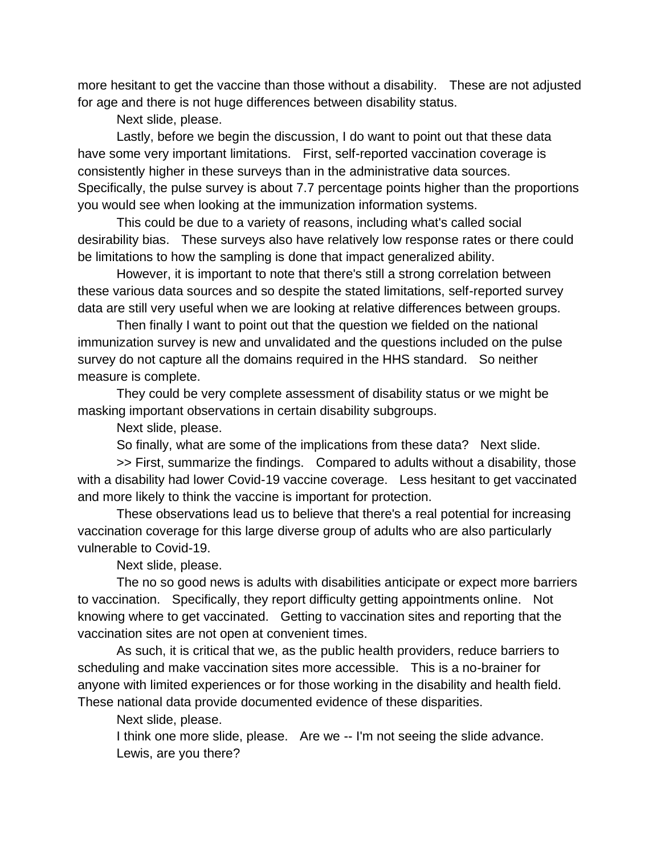more hesitant to get the vaccine than those without a disability. These are not adjusted for age and there is not huge differences between disability status.

Next slide, please.

Lastly, before we begin the discussion, I do want to point out that these data have some very important limitations. First, self-reported vaccination coverage is consistently higher in these surveys than in the administrative data sources. Specifically, the pulse survey is about 7.7 percentage points higher than the proportions you would see when looking at the immunization information systems.

This could be due to a variety of reasons, including what's called social desirability bias. These surveys also have relatively low response rates or there could be limitations to how the sampling is done that impact generalized ability.

However, it is important to note that there's still a strong correlation between these various data sources and so despite the stated limitations, self-reported survey data are still very useful when we are looking at relative differences between groups.

Then finally I want to point out that the question we fielded on the national immunization survey is new and unvalidated and the questions included on the pulse survey do not capture all the domains required in the HHS standard. So neither measure is complete.

They could be very complete assessment of disability status or we might be masking important observations in certain disability subgroups.

Next slide, please.

So finally, what are some of the implications from these data? Next slide.

>> First, summarize the findings. Compared to adults without a disability, those with a disability had lower Covid-19 vaccine coverage. Less hesitant to get vaccinated and more likely to think the vaccine is important for protection.

These observations lead us to believe that there's a real potential for increasing vaccination coverage for this large diverse group of adults who are also particularly vulnerable to Covid-19.

Next slide, please.

The no so good news is adults with disabilities anticipate or expect more barriers to vaccination. Specifically, they report difficulty getting appointments online. Not knowing where to get vaccinated. Getting to vaccination sites and reporting that the vaccination sites are not open at convenient times.

As such, it is critical that we, as the public health providers, reduce barriers to scheduling and make vaccination sites more accessible. This is a no-brainer for anyone with limited experiences or for those working in the disability and health field. These national data provide documented evidence of these disparities.

Next slide, please.

I think one more slide, please. Are we -- I'm not seeing the slide advance. Lewis, are you there?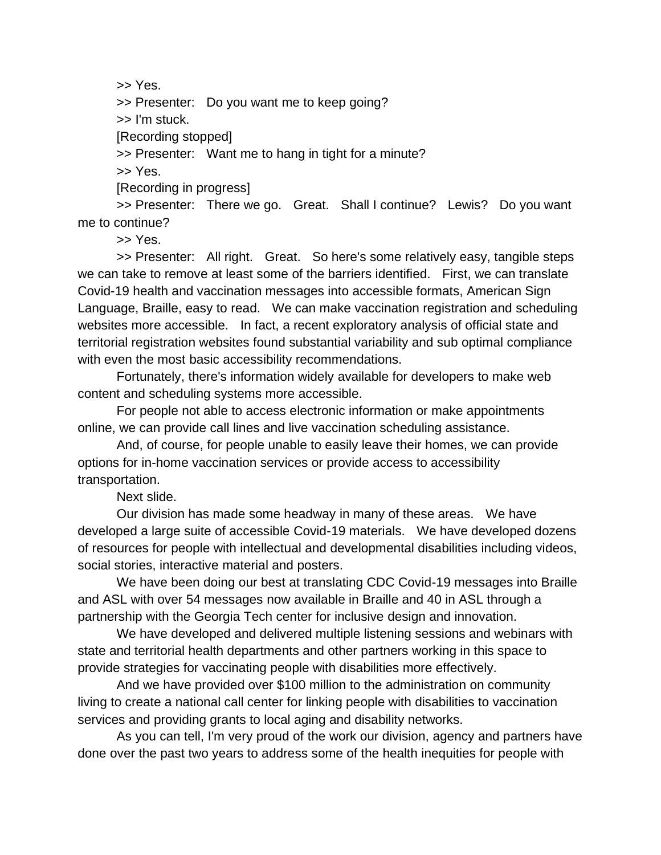>> Yes.

>> Presenter: Do you want me to keep going?

>> I'm stuck.

[Recording stopped]

>> Presenter: Want me to hang in tight for a minute?

>> Yes.

[Recording in progress]

>> Presenter: There we go. Great. Shall I continue? Lewis? Do you want me to continue?

>> Yes.

>> Presenter: All right. Great. So here's some relatively easy, tangible steps we can take to remove at least some of the barriers identified. First, we can translate Covid-19 health and vaccination messages into accessible formats, American Sign Language, Braille, easy to read. We can make vaccination registration and scheduling websites more accessible. In fact, a recent exploratory analysis of official state and territorial registration websites found substantial variability and sub optimal compliance with even the most basic accessibility recommendations.

Fortunately, there's information widely available for developers to make web content and scheduling systems more accessible.

For people not able to access electronic information or make appointments online, we can provide call lines and live vaccination scheduling assistance.

And, of course, for people unable to easily leave their homes, we can provide options for in-home vaccination services or provide access to accessibility transportation.

Next slide.

Our division has made some headway in many of these areas. We have developed a large suite of accessible Covid-19 materials. We have developed dozens of resources for people with intellectual and developmental disabilities including videos, social stories, interactive material and posters.

We have been doing our best at translating CDC Covid-19 messages into Braille and ASL with over 54 messages now available in Braille and 40 in ASL through a partnership with the Georgia Tech center for inclusive design and innovation.

We have developed and delivered multiple listening sessions and webinars with state and territorial health departments and other partners working in this space to provide strategies for vaccinating people with disabilities more effectively.

And we have provided over \$100 million to the administration on community living to create a national call center for linking people with disabilities to vaccination services and providing grants to local aging and disability networks.

As you can tell, I'm very proud of the work our division, agency and partners have done over the past two years to address some of the health inequities for people with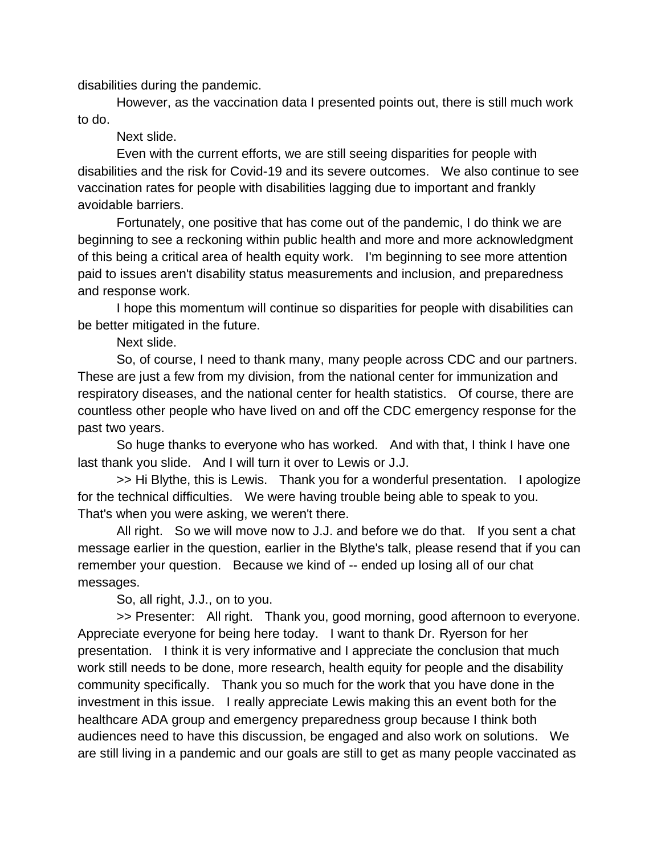disabilities during the pandemic.

However, as the vaccination data I presented points out, there is still much work to do.

Next slide.

Even with the current efforts, we are still seeing disparities for people with disabilities and the risk for Covid-19 and its severe outcomes. We also continue to see vaccination rates for people with disabilities lagging due to important and frankly avoidable barriers.

Fortunately, one positive that has come out of the pandemic, I do think we are beginning to see a reckoning within public health and more and more acknowledgment of this being a critical area of health equity work. I'm beginning to see more attention paid to issues aren't disability status measurements and inclusion, and preparedness and response work.

I hope this momentum will continue so disparities for people with disabilities can be better mitigated in the future.

Next slide.

So, of course, I need to thank many, many people across CDC and our partners. These are just a few from my division, from the national center for immunization and respiratory diseases, and the national center for health statistics. Of course, there are countless other people who have lived on and off the CDC emergency response for the past two years.

So huge thanks to everyone who has worked. And with that, I think I have one last thank you slide. And I will turn it over to Lewis or J.J.

>> Hi Blythe, this is Lewis. Thank you for a wonderful presentation. I apologize for the technical difficulties. We were having trouble being able to speak to you. That's when you were asking, we weren't there.

All right. So we will move now to J.J. and before we do that. If you sent a chat message earlier in the question, earlier in the Blythe's talk, please resend that if you can remember your question. Because we kind of -- ended up losing all of our chat messages.

So, all right, J.J., on to you.

>> Presenter: All right. Thank you, good morning, good afternoon to everyone. Appreciate everyone for being here today. I want to thank Dr. Ryerson for her presentation. I think it is very informative and I appreciate the conclusion that much work still needs to be done, more research, health equity for people and the disability community specifically. Thank you so much for the work that you have done in the investment in this issue. I really appreciate Lewis making this an event both for the healthcare ADA group and emergency preparedness group because I think both audiences need to have this discussion, be engaged and also work on solutions. We are still living in a pandemic and our goals are still to get as many people vaccinated as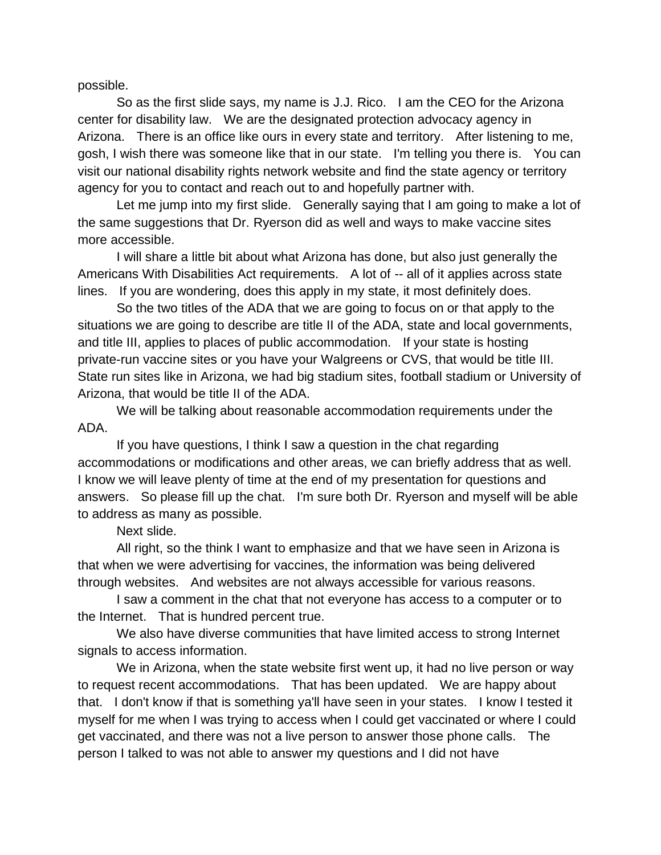possible.

So as the first slide says, my name is J.J. Rico. I am the CEO for the Arizona center for disability law. We are the designated protection advocacy agency in Arizona. There is an office like ours in every state and territory. After listening to me, gosh, I wish there was someone like that in our state. I'm telling you there is. You can visit our national disability rights network website and find the state agency or territory agency for you to contact and reach out to and hopefully partner with.

Let me jump into my first slide. Generally saying that I am going to make a lot of the same suggestions that Dr. Ryerson did as well and ways to make vaccine sites more accessible.

I will share a little bit about what Arizona has done, but also just generally the Americans With Disabilities Act requirements. A lot of -- all of it applies across state lines. If you are wondering, does this apply in my state, it most definitely does.

So the two titles of the ADA that we are going to focus on or that apply to the situations we are going to describe are title II of the ADA, state and local governments, and title III, applies to places of public accommodation. If your state is hosting private-run vaccine sites or you have your Walgreens or CVS, that would be title III. State run sites like in Arizona, we had big stadium sites, football stadium or University of Arizona, that would be title II of the ADA.

We will be talking about reasonable accommodation requirements under the ADA.

If you have questions, I think I saw a question in the chat regarding accommodations or modifications and other areas, we can briefly address that as well. I know we will leave plenty of time at the end of my presentation for questions and answers. So please fill up the chat. I'm sure both Dr. Ryerson and myself will be able to address as many as possible.

## Next slide.

All right, so the think I want to emphasize and that we have seen in Arizona is that when we were advertising for vaccines, the information was being delivered through websites. And websites are not always accessible for various reasons.

I saw a comment in the chat that not everyone has access to a computer or to the Internet. That is hundred percent true.

We also have diverse communities that have limited access to strong Internet signals to access information.

We in Arizona, when the state website first went up, it had no live person or way to request recent accommodations. That has been updated. We are happy about that. I don't know if that is something ya'll have seen in your states. I know I tested it myself for me when I was trying to access when I could get vaccinated or where I could get vaccinated, and there was not a live person to answer those phone calls. The person I talked to was not able to answer my questions and I did not have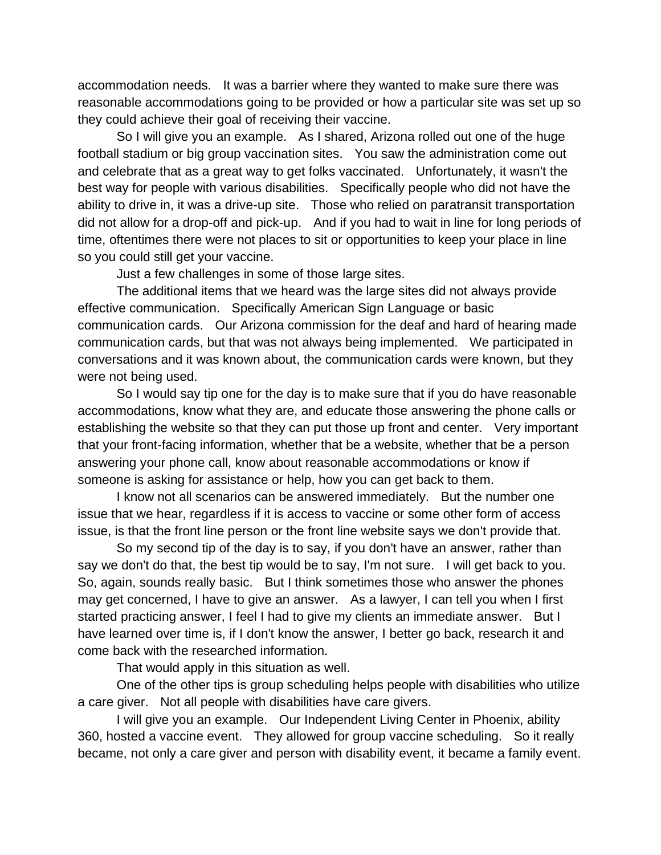accommodation needs. It was a barrier where they wanted to make sure there was reasonable accommodations going to be provided or how a particular site was set up so they could achieve their goal of receiving their vaccine.

So I will give you an example. As I shared, Arizona rolled out one of the huge football stadium or big group vaccination sites. You saw the administration come out and celebrate that as a great way to get folks vaccinated. Unfortunately, it wasn't the best way for people with various disabilities. Specifically people who did not have the ability to drive in, it was a drive-up site. Those who relied on paratransit transportation did not allow for a drop-off and pick-up. And if you had to wait in line for long periods of time, oftentimes there were not places to sit or opportunities to keep your place in line so you could still get your vaccine.

Just a few challenges in some of those large sites.

The additional items that we heard was the large sites did not always provide effective communication. Specifically American Sign Language or basic communication cards. Our Arizona commission for the deaf and hard of hearing made communication cards, but that was not always being implemented. We participated in conversations and it was known about, the communication cards were known, but they were not being used.

So I would say tip one for the day is to make sure that if you do have reasonable accommodations, know what they are, and educate those answering the phone calls or establishing the website so that they can put those up front and center. Very important that your front-facing information, whether that be a website, whether that be a person answering your phone call, know about reasonable accommodations or know if someone is asking for assistance or help, how you can get back to them.

I know not all scenarios can be answered immediately. But the number one issue that we hear, regardless if it is access to vaccine or some other form of access issue, is that the front line person or the front line website says we don't provide that.

So my second tip of the day is to say, if you don't have an answer, rather than say we don't do that, the best tip would be to say, I'm not sure. I will get back to you. So, again, sounds really basic. But I think sometimes those who answer the phones may get concerned, I have to give an answer. As a lawyer, I can tell you when I first started practicing answer, I feel I had to give my clients an immediate answer. But I have learned over time is, if I don't know the answer, I better go back, research it and come back with the researched information.

That would apply in this situation as well.

One of the other tips is group scheduling helps people with disabilities who utilize a care giver. Not all people with disabilities have care givers.

I will give you an example. Our Independent Living Center in Phoenix, ability 360, hosted a vaccine event. They allowed for group vaccine scheduling. So it really became, not only a care giver and person with disability event, it became a family event.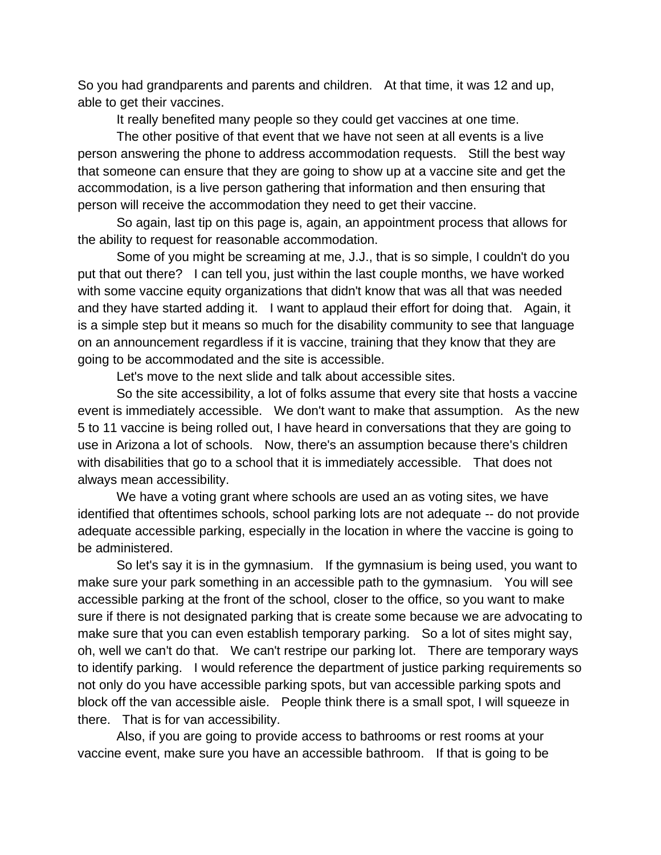So you had grandparents and parents and children. At that time, it was 12 and up, able to get their vaccines.

It really benefited many people so they could get vaccines at one time.

The other positive of that event that we have not seen at all events is a live person answering the phone to address accommodation requests. Still the best way that someone can ensure that they are going to show up at a vaccine site and get the accommodation, is a live person gathering that information and then ensuring that person will receive the accommodation they need to get their vaccine.

So again, last tip on this page is, again, an appointment process that allows for the ability to request for reasonable accommodation.

Some of you might be screaming at me, J.J., that is so simple, I couldn't do you put that out there? I can tell you, just within the last couple months, we have worked with some vaccine equity organizations that didn't know that was all that was needed and they have started adding it. I want to applaud their effort for doing that. Again, it is a simple step but it means so much for the disability community to see that language on an announcement regardless if it is vaccine, training that they know that they are going to be accommodated and the site is accessible.

Let's move to the next slide and talk about accessible sites.

So the site accessibility, a lot of folks assume that every site that hosts a vaccine event is immediately accessible. We don't want to make that assumption. As the new 5 to 11 vaccine is being rolled out, I have heard in conversations that they are going to use in Arizona a lot of schools. Now, there's an assumption because there's children with disabilities that go to a school that it is immediately accessible. That does not always mean accessibility.

We have a voting grant where schools are used an as voting sites, we have identified that oftentimes schools, school parking lots are not adequate -- do not provide adequate accessible parking, especially in the location in where the vaccine is going to be administered.

So let's say it is in the gymnasium. If the gymnasium is being used, you want to make sure your park something in an accessible path to the gymnasium. You will see accessible parking at the front of the school, closer to the office, so you want to make sure if there is not designated parking that is create some because we are advocating to make sure that you can even establish temporary parking. So a lot of sites might say, oh, well we can't do that. We can't restripe our parking lot. There are temporary ways to identify parking. I would reference the department of justice parking requirements so not only do you have accessible parking spots, but van accessible parking spots and block off the van accessible aisle. People think there is a small spot, I will squeeze in there. That is for van accessibility.

Also, if you are going to provide access to bathrooms or rest rooms at your vaccine event, make sure you have an accessible bathroom. If that is going to be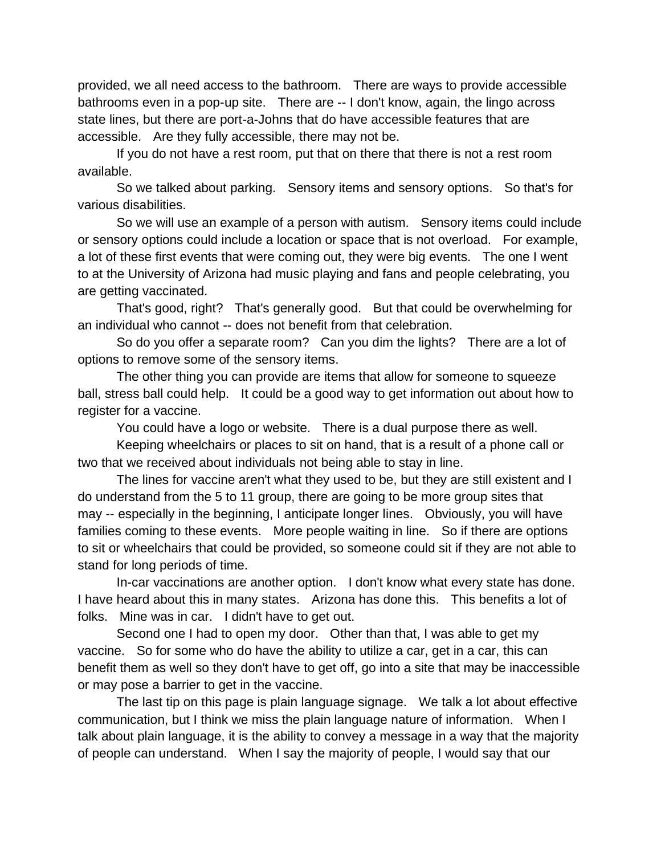provided, we all need access to the bathroom. There are ways to provide accessible bathrooms even in a pop-up site. There are -- I don't know, again, the lingo across state lines, but there are port-a-Johns that do have accessible features that are accessible. Are they fully accessible, there may not be.

If you do not have a rest room, put that on there that there is not a rest room available.

So we talked about parking. Sensory items and sensory options. So that's for various disabilities.

So we will use an example of a person with autism. Sensory items could include or sensory options could include a location or space that is not overload. For example, a lot of these first events that were coming out, they were big events. The one I went to at the University of Arizona had music playing and fans and people celebrating, you are getting vaccinated.

That's good, right? That's generally good. But that could be overwhelming for an individual who cannot -- does not benefit from that celebration.

So do you offer a separate room? Can you dim the lights? There are a lot of options to remove some of the sensory items.

The other thing you can provide are items that allow for someone to squeeze ball, stress ball could help. It could be a good way to get information out about how to register for a vaccine.

You could have a logo or website. There is a dual purpose there as well.

Keeping wheelchairs or places to sit on hand, that is a result of a phone call or two that we received about individuals not being able to stay in line.

The lines for vaccine aren't what they used to be, but they are still existent and I do understand from the 5 to 11 group, there are going to be more group sites that may -- especially in the beginning, I anticipate longer lines. Obviously, you will have families coming to these events. More people waiting in line. So if there are options to sit or wheelchairs that could be provided, so someone could sit if they are not able to stand for long periods of time.

In-car vaccinations are another option. I don't know what every state has done. I have heard about this in many states. Arizona has done this. This benefits a lot of folks. Mine was in car. I didn't have to get out.

Second one I had to open my door. Other than that, I was able to get my vaccine. So for some who do have the ability to utilize a car, get in a car, this can benefit them as well so they don't have to get off, go into a site that may be inaccessible or may pose a barrier to get in the vaccine.

The last tip on this page is plain language signage. We talk a lot about effective communication, but I think we miss the plain language nature of information. When I talk about plain language, it is the ability to convey a message in a way that the majority of people can understand. When I say the majority of people, I would say that our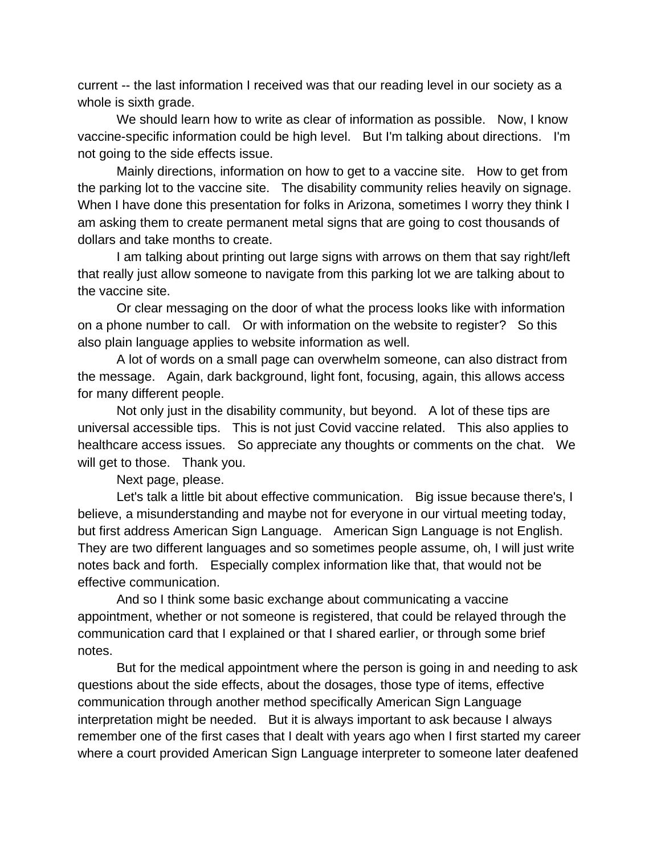current -- the last information I received was that our reading level in our society as a whole is sixth grade.

We should learn how to write as clear of information as possible. Now, I know vaccine-specific information could be high level. But I'm talking about directions. I'm not going to the side effects issue.

Mainly directions, information on how to get to a vaccine site. How to get from the parking lot to the vaccine site. The disability community relies heavily on signage. When I have done this presentation for folks in Arizona, sometimes I worry they think I am asking them to create permanent metal signs that are going to cost thousands of dollars and take months to create.

I am talking about printing out large signs with arrows on them that say right/left that really just allow someone to navigate from this parking lot we are talking about to the vaccine site.

Or clear messaging on the door of what the process looks like with information on a phone number to call. Or with information on the website to register? So this also plain language applies to website information as well.

A lot of words on a small page can overwhelm someone, can also distract from the message. Again, dark background, light font, focusing, again, this allows access for many different people.

Not only just in the disability community, but beyond. A lot of these tips are universal accessible tips. This is not just Covid vaccine related. This also applies to healthcare access issues. So appreciate any thoughts or comments on the chat. We will get to those. Thank you.

Next page, please.

Let's talk a little bit about effective communication. Big issue because there's, I believe, a misunderstanding and maybe not for everyone in our virtual meeting today, but first address American Sign Language. American Sign Language is not English. They are two different languages and so sometimes people assume, oh, I will just write notes back and forth. Especially complex information like that, that would not be effective communication.

And so I think some basic exchange about communicating a vaccine appointment, whether or not someone is registered, that could be relayed through the communication card that I explained or that I shared earlier, or through some brief notes.

But for the medical appointment where the person is going in and needing to ask questions about the side effects, about the dosages, those type of items, effective communication through another method specifically American Sign Language interpretation might be needed. But it is always important to ask because I always remember one of the first cases that I dealt with years ago when I first started my career where a court provided American Sign Language interpreter to someone later deafened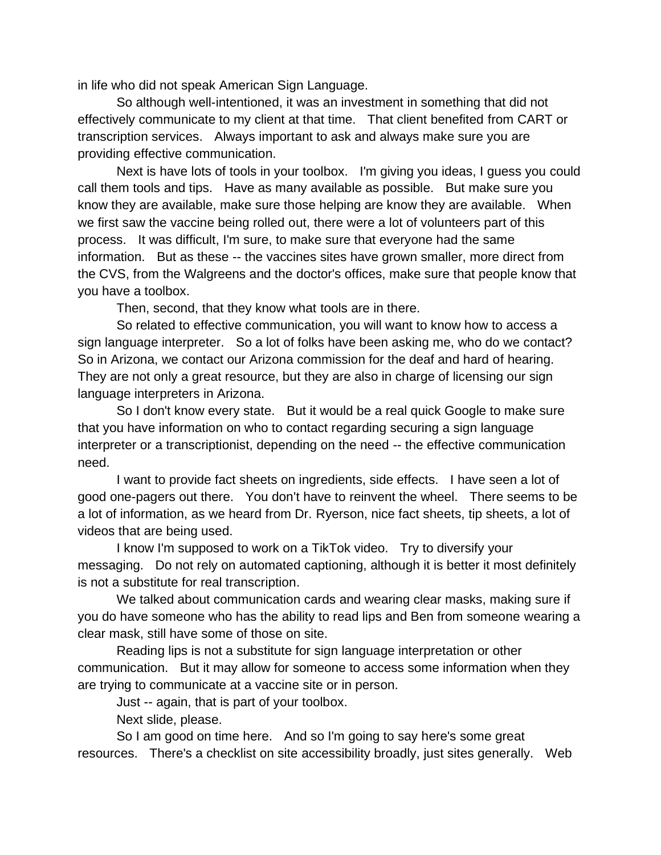in life who did not speak American Sign Language.

So although well-intentioned, it was an investment in something that did not effectively communicate to my client at that time. That client benefited from CART or transcription services. Always important to ask and always make sure you are providing effective communication.

Next is have lots of tools in your toolbox. I'm giving you ideas, I guess you could call them tools and tips. Have as many available as possible. But make sure you know they are available, make sure those helping are know they are available. When we first saw the vaccine being rolled out, there were a lot of volunteers part of this process. It was difficult, I'm sure, to make sure that everyone had the same information. But as these -- the vaccines sites have grown smaller, more direct from the CVS, from the Walgreens and the doctor's offices, make sure that people know that you have a toolbox.

Then, second, that they know what tools are in there.

So related to effective communication, you will want to know how to access a sign language interpreter. So a lot of folks have been asking me, who do we contact? So in Arizona, we contact our Arizona commission for the deaf and hard of hearing. They are not only a great resource, but they are also in charge of licensing our sign language interpreters in Arizona.

So I don't know every state. But it would be a real quick Google to make sure that you have information on who to contact regarding securing a sign language interpreter or a transcriptionist, depending on the need -- the effective communication need.

I want to provide fact sheets on ingredients, side effects. I have seen a lot of good one-pagers out there. You don't have to reinvent the wheel. There seems to be a lot of information, as we heard from Dr. Ryerson, nice fact sheets, tip sheets, a lot of videos that are being used.

I know I'm supposed to work on a TikTok video. Try to diversify your messaging. Do not rely on automated captioning, although it is better it most definitely is not a substitute for real transcription.

We talked about communication cards and wearing clear masks, making sure if you do have someone who has the ability to read lips and Ben from someone wearing a clear mask, still have some of those on site.

Reading lips is not a substitute for sign language interpretation or other communication. But it may allow for someone to access some information when they are trying to communicate at a vaccine site or in person.

Just -- again, that is part of your toolbox.

Next slide, please.

So I am good on time here. And so I'm going to say here's some great resources. There's a checklist on site accessibility broadly, just sites generally. Web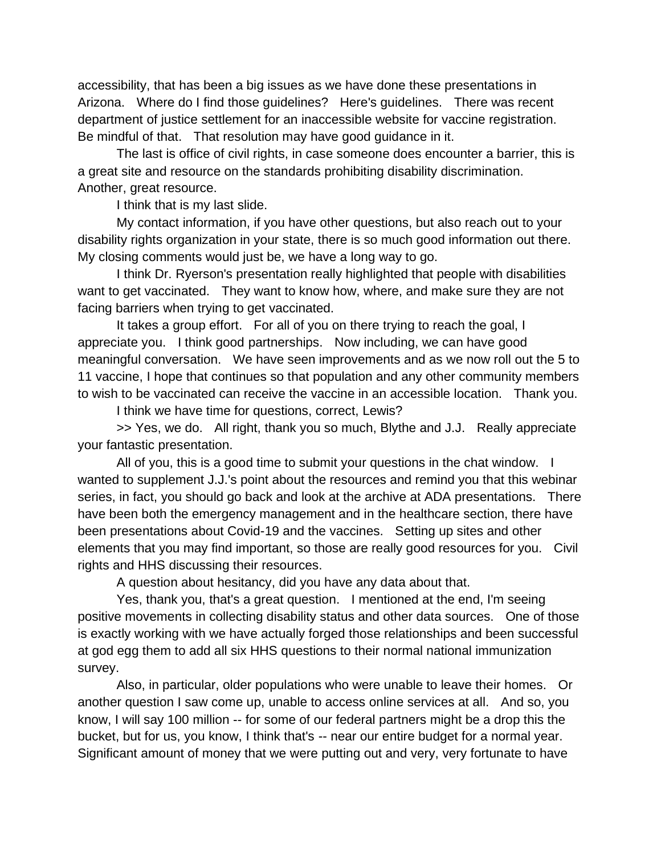accessibility, that has been a big issues as we have done these presentations in Arizona. Where do I find those guidelines? Here's guidelines. There was recent department of justice settlement for an inaccessible website for vaccine registration. Be mindful of that. That resolution may have good guidance in it.

The last is office of civil rights, in case someone does encounter a barrier, this is a great site and resource on the standards prohibiting disability discrimination. Another, great resource.

I think that is my last slide.

My contact information, if you have other questions, but also reach out to your disability rights organization in your state, there is so much good information out there. My closing comments would just be, we have a long way to go.

I think Dr. Ryerson's presentation really highlighted that people with disabilities want to get vaccinated. They want to know how, where, and make sure they are not facing barriers when trying to get vaccinated.

It takes a group effort. For all of you on there trying to reach the goal, I appreciate you. I think good partnerships. Now including, we can have good meaningful conversation. We have seen improvements and as we now roll out the 5 to 11 vaccine, I hope that continues so that population and any other community members to wish to be vaccinated can receive the vaccine in an accessible location. Thank you.

I think we have time for questions, correct, Lewis?

>> Yes, we do. All right, thank you so much, Blythe and J.J. Really appreciate your fantastic presentation.

All of you, this is a good time to submit your questions in the chat window. I wanted to supplement J.J.'s point about the resources and remind you that this webinar series, in fact, you should go back and look at the archive at ADA presentations. There have been both the emergency management and in the healthcare section, there have been presentations about Covid-19 and the vaccines. Setting up sites and other elements that you may find important, so those are really good resources for you. Civil rights and HHS discussing their resources.

A question about hesitancy, did you have any data about that.

Yes, thank you, that's a great question. I mentioned at the end, I'm seeing positive movements in collecting disability status and other data sources. One of those is exactly working with we have actually forged those relationships and been successful at god egg them to add all six HHS questions to their normal national immunization survey.

Also, in particular, older populations who were unable to leave their homes. Or another question I saw come up, unable to access online services at all. And so, you know, I will say 100 million -- for some of our federal partners might be a drop this the bucket, but for us, you know, I think that's -- near our entire budget for a normal year. Significant amount of money that we were putting out and very, very fortunate to have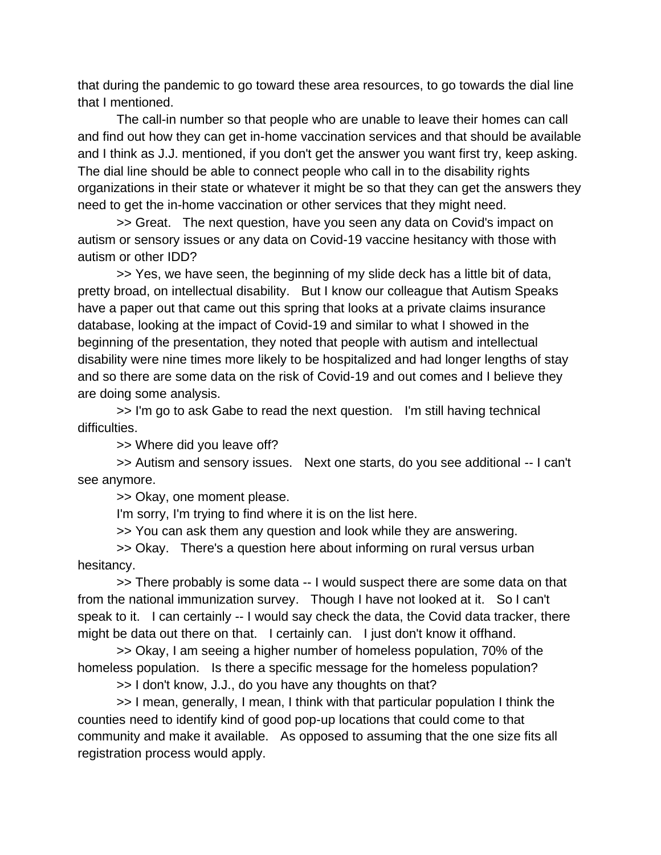that during the pandemic to go toward these area resources, to go towards the dial line that I mentioned.

The call-in number so that people who are unable to leave their homes can call and find out how they can get in-home vaccination services and that should be available and I think as J.J. mentioned, if you don't get the answer you want first try, keep asking. The dial line should be able to connect people who call in to the disability rights organizations in their state or whatever it might be so that they can get the answers they need to get the in-home vaccination or other services that they might need.

>> Great. The next question, have you seen any data on Covid's impact on autism or sensory issues or any data on Covid-19 vaccine hesitancy with those with autism or other IDD?

>> Yes, we have seen, the beginning of my slide deck has a little bit of data, pretty broad, on intellectual disability. But I know our colleague that Autism Speaks have a paper out that came out this spring that looks at a private claims insurance database, looking at the impact of Covid-19 and similar to what I showed in the beginning of the presentation, they noted that people with autism and intellectual disability were nine times more likely to be hospitalized and had longer lengths of stay and so there are some data on the risk of Covid-19 and out comes and I believe they are doing some analysis.

>> I'm go to ask Gabe to read the next question. I'm still having technical difficulties.

>> Where did you leave off?

>> Autism and sensory issues. Next one starts, do you see additional -- I can't see anymore.

>> Okay, one moment please.

I'm sorry, I'm trying to find where it is on the list here.

>> You can ask them any question and look while they are answering.

>> Okay. There's a question here about informing on rural versus urban hesitancy.

>> There probably is some data -- I would suspect there are some data on that from the national immunization survey. Though I have not looked at it. So I can't speak to it. I can certainly -- I would say check the data, the Covid data tracker, there might be data out there on that. I certainly can. I just don't know it offhand.

>> Okay, I am seeing a higher number of homeless population, 70% of the homeless population. Is there a specific message for the homeless population?

>> I don't know, J.J., do you have any thoughts on that?

>> I mean, generally, I mean, I think with that particular population I think the counties need to identify kind of good pop-up locations that could come to that community and make it available. As opposed to assuming that the one size fits all registration process would apply.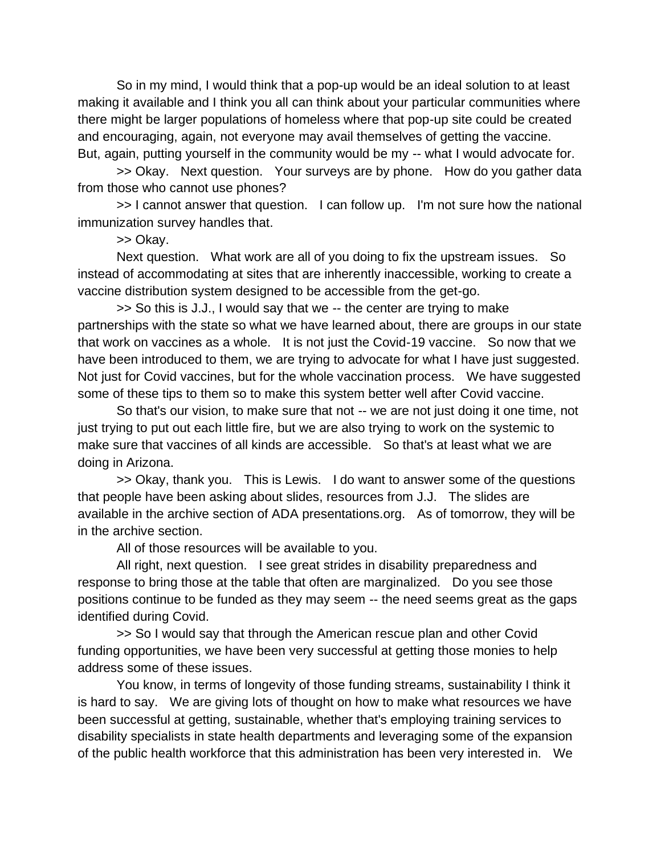So in my mind, I would think that a pop-up would be an ideal solution to at least making it available and I think you all can think about your particular communities where there might be larger populations of homeless where that pop-up site could be created and encouraging, again, not everyone may avail themselves of getting the vaccine. But, again, putting yourself in the community would be my -- what I would advocate for.

>> Okay. Next question. Your surveys are by phone. How do you gather data from those who cannot use phones?

>> I cannot answer that question. I can follow up. I'm not sure how the national immunization survey handles that.

>> Okay.

Next question. What work are all of you doing to fix the upstream issues. So instead of accommodating at sites that are inherently inaccessible, working to create a vaccine distribution system designed to be accessible from the get-go.

>> So this is J.J., I would say that we -- the center are trying to make partnerships with the state so what we have learned about, there are groups in our state that work on vaccines as a whole. It is not just the Covid-19 vaccine. So now that we have been introduced to them, we are trying to advocate for what I have just suggested. Not just for Covid vaccines, but for the whole vaccination process. We have suggested some of these tips to them so to make this system better well after Covid vaccine.

So that's our vision, to make sure that not -- we are not just doing it one time, not just trying to put out each little fire, but we are also trying to work on the systemic to make sure that vaccines of all kinds are accessible. So that's at least what we are doing in Arizona.

>> Okay, thank you. This is Lewis. I do want to answer some of the questions that people have been asking about slides, resources from J.J. The slides are available in the archive section of ADA presentations.org. As of tomorrow, they will be in the archive section.

All of those resources will be available to you.

All right, next question. I see great strides in disability preparedness and response to bring those at the table that often are marginalized. Do you see those positions continue to be funded as they may seem -- the need seems great as the gaps identified during Covid.

>> So I would say that through the American rescue plan and other Covid funding opportunities, we have been very successful at getting those monies to help address some of these issues.

You know, in terms of longevity of those funding streams, sustainability I think it is hard to say. We are giving lots of thought on how to make what resources we have been successful at getting, sustainable, whether that's employing training services to disability specialists in state health departments and leveraging some of the expansion of the public health workforce that this administration has been very interested in. We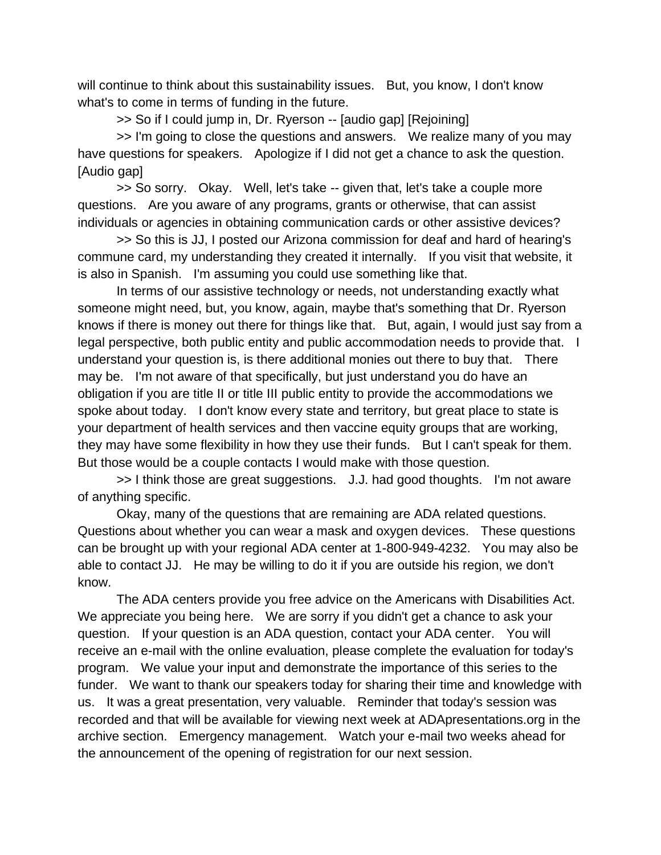will continue to think about this sustainability issues. But, you know, I don't know what's to come in terms of funding in the future.

>> So if I could jump in, Dr. Ryerson -- [audio gap] [Rejoining]

>> I'm going to close the questions and answers. We realize many of you may have questions for speakers. Apologize if I did not get a chance to ask the question. [Audio gap]

>> So sorry. Okay. Well, let's take -- given that, let's take a couple more questions. Are you aware of any programs, grants or otherwise, that can assist individuals or agencies in obtaining communication cards or other assistive devices?

>> So this is JJ, I posted our Arizona commission for deaf and hard of hearing's commune card, my understanding they created it internally. If you visit that website, it is also in Spanish. I'm assuming you could use something like that.

In terms of our assistive technology or needs, not understanding exactly what someone might need, but, you know, again, maybe that's something that Dr. Ryerson knows if there is money out there for things like that. But, again, I would just say from a legal perspective, both public entity and public accommodation needs to provide that. I understand your question is, is there additional monies out there to buy that. There may be. I'm not aware of that specifically, but just understand you do have an obligation if you are title II or title III public entity to provide the accommodations we spoke about today. I don't know every state and territory, but great place to state is your department of health services and then vaccine equity groups that are working, they may have some flexibility in how they use their funds. But I can't speak for them. But those would be a couple contacts I would make with those question.

>> I think those are great suggestions. J.J. had good thoughts. I'm not aware of anything specific.

Okay, many of the questions that are remaining are ADA related questions. Questions about whether you can wear a mask and oxygen devices. These questions can be brought up with your regional ADA center at 1-800-949-4232. You may also be able to contact JJ. He may be willing to do it if you are outside his region, we don't know.

The ADA centers provide you free advice on the Americans with Disabilities Act. We appreciate you being here. We are sorry if you didn't get a chance to ask your question. If your question is an ADA question, contact your ADA center. You will receive an e-mail with the online evaluation, please complete the evaluation for today's program. We value your input and demonstrate the importance of this series to the funder. We want to thank our speakers today for sharing their time and knowledge with us. It was a great presentation, very valuable. Reminder that today's session was recorded and that will be available for viewing next week at ADApresentations.org in the archive section. Emergency management. Watch your e-mail two weeks ahead for the announcement of the opening of registration for our next session.